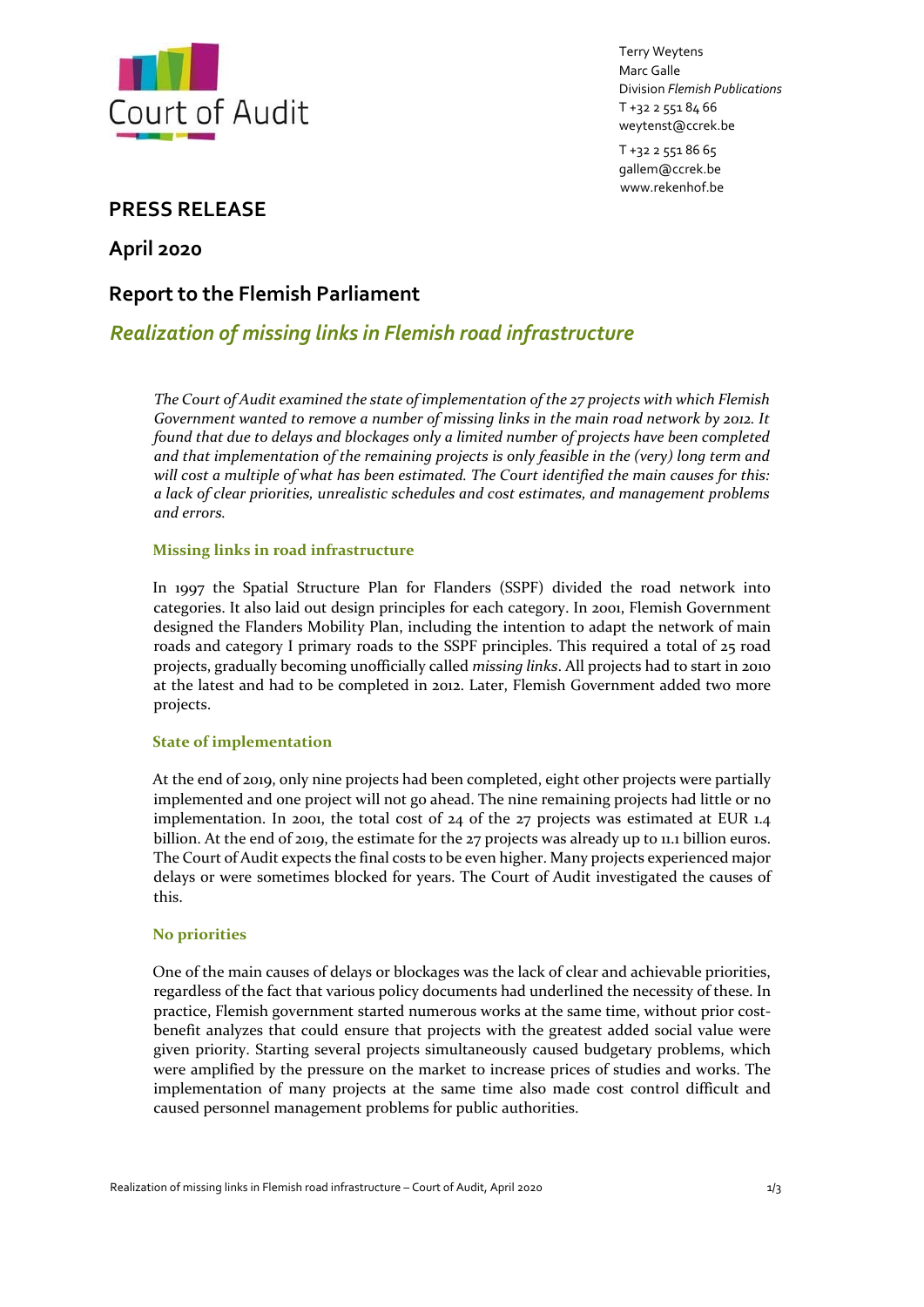

Terry Weytens Marc Galle Division *Flemish Publications* T +32 2 551 84 66 weytenst@ccrek.be

T +32 2 551 86 65 gallem@ccrek.be www.rekenhof.be

## **PRESS RELEASE**

**April 2020**

# **Report to the Flemish Parliament**

# *Realization of missing links in Flemish road infrastructure*

*The Court of Audit examined the state of implementation of the 27 projects with which Flemish Government wanted to remove a number of missing links in the main road network by 2012. It found that due to delays and blockages only a limited number of projects have been completed and that implementation of the remaining projects is only feasible in the (very) long term and will cost a multiple of what has been estimated. The Court identified the main causes for this: a lack of clear priorities, unrealistic schedules and cost estimates, and management problems and errors.*

## **Missing links in road infrastructure**

In 1997 the Spatial Structure Plan for Flanders (SSPF) divided the road network into categories. It also laid out design principles for each category. In 2001, Flemish Government designed the Flanders Mobility Plan, including the intention to adapt the network of main roads and category I primary roads to the SSPF principles. This required a total of 25 road projects, gradually becoming unofficially called *missing links*. All projects had to start in 2010 at the latest and had to be completed in 2012. Later, Flemish Government added two more projects.

### **State of implementation**

At the end of 2019, only nine projects had been completed, eight other projects were partially implemented and one project will not go ahead. The nine remaining projects had little or no implementation. In 2001, the total cost of  $24$  of the 27 projects was estimated at EUR 1.4 billion. At the end of 2019, the estimate for the 27 projects was already up to 11.1 billion euros. The Court of Audit expects the final costs to be even higher. Many projects experienced major delays or were sometimes blocked for years. The Court of Audit investigated the causes of this.

#### **No priorities**

One of the main causes of delays or blockages was the lack of clear and achievable priorities, regardless of the fact that various policy documents had underlined the necessity of these. In practice, Flemish government started numerous works at the same time, without prior costbenefit analyzes that could ensure that projects with the greatest added social value were given priority. Starting several projects simultaneously caused budgetary problems, which were amplified by the pressure on the market to increase prices of studies and works. The implementation of many projects at the same time also made cost control difficult and caused personnel management problems for public authorities.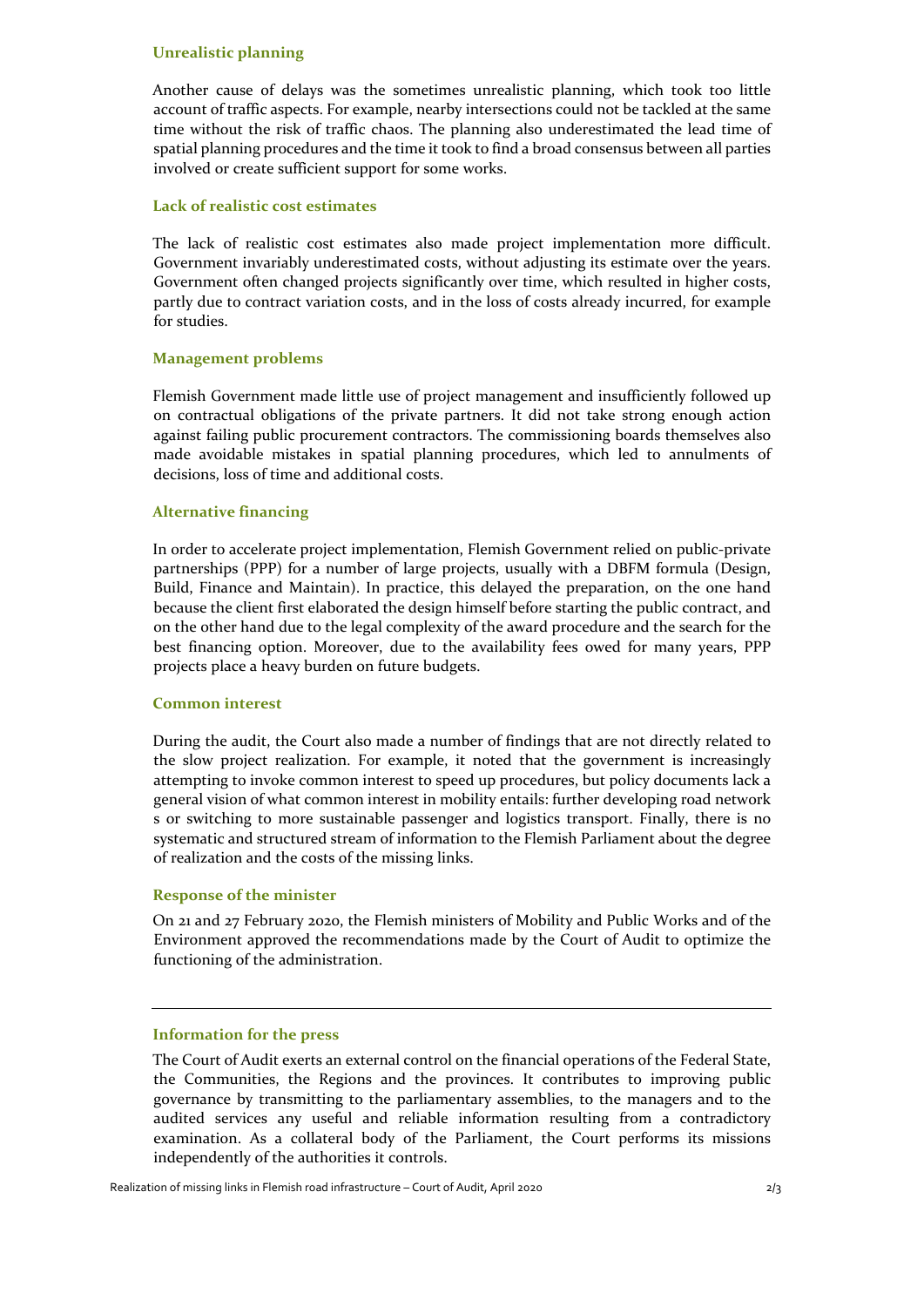#### **Unrealistic planning**

Another cause of delays was the sometimes unrealistic planning, which took too little account of traffic aspects. For example, nearby intersections could not be tackled at the same time without the risk of traffic chaos. The planning also underestimated the lead time of spatial planning procedures and the time it took to find a broad consensus between all parties involved or create sufficient support for some works.

#### **Lack of realistic cost estimates**

The lack of realistic cost estimates also made project implementation more difficult. Government invariably underestimated costs, without adjusting its estimate over the years. Government often changed projects significantly over time, which resulted in higher costs, partly due to contract variation costs, and in the loss of costs already incurred, for example for studies.

#### **Management problems**

Flemish Government made little use of project management and insufficiently followed up on contractual obligations of the private partners. It did not take strong enough action against failing public procurement contractors. The commissioning boards themselves also made avoidable mistakes in spatial planning procedures, which led to annulments of decisions, loss of time and additional costs.

#### **Alternative financing**

In order to accelerate project implementation, Flemish Government relied on public‐private partnerships (PPP) for a number of large projects, usually with a DBFM formula (Design, Build, Finance and Maintain). In practice, this delayed the preparation, on the one hand because the client first elaborated the design himself before starting the public contract, and on the other hand due to the legal complexity of the award procedure and the search for the best financing option. Moreover, due to the availability fees owed for many years, PPP projects place a heavy burden on future budgets.

#### **Common interest**

During the audit, the Court also made a number of findings that are not directly related to the slow project realization. For example, it noted that the government is increasingly attempting to invoke common interest to speed up procedures, but policy documents lack a general vision of what common interest in mobility entails: further developing road network s or switching to more sustainable passenger and logistics transport. Finally, there is no systematic and structured stream of information to the Flemish Parliament about the degree of realization and the costs of the missing links.

#### **Response of the minister**

On 21 and 27 February 2020, the Flemish ministers of Mobility and Public Works and of the Environment approved the recommendations made by the Court of Audit to optimize the functioning of the administration.

#### **Information for the press**

The Court of Audit exerts an external control on the financial operations of the Federal State, the Communities, the Regions and the provinces. It contributes to improving public governance by transmitting to the parliamentary assemblies, to the managers and to the audited services any useful and reliable information resulting from a contradictory examination. As a collateral body of the Parliament, the Court performs its missions independently of the authorities it controls.